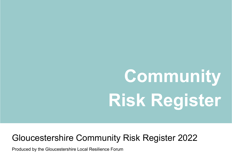# **Community Risk Register**

### Gloucestershire Community Risk Register 2022

Produced by the Gloucestershire Local Resilience Forum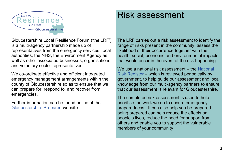

Risk assessment

Gloucestershire Local Resilience Forum ('the LRF') is a multi-agency partnership made up of representatives from the emergency services, local authorities, the NHS, the Environment Agency as well as other associated businesses, organisations and voluntary sector representatives.

We co-ordinate effective and efficient integrated emergency management arrangements within the county of Gloucestershire so as to ensure that we can prepare for, respond to, and recover from emergencies.

Further information can be found online at the [Gloucestershire Prepared](https://glosprepared.co.uk/) website.

The LRF carries out a risk assessment to identify the range of risks present in the community, assess the likelihood of their occurrence together with the health, social, economic and environmental impacts that would occur in the event of the risk happening.

We use a national risk assessment – the National [Risk Register](https://www.gov.uk/government/publications/national-risk-register-2020) – which is reviewed periodically by government, to help guide our assessment and local knowledge from our multi-agency partners to ensure that our assessment is relevant for Gloucestershire.

The completed risk assessment is used to help prioritise the work we do to ensure emergency preparedness. It can also help you be prepared – being prepared can help reduce the effects on people's lives, reduce the need for support from others and enable you to support the vulnerable members of your community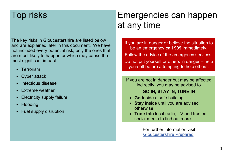### Top risks

The key risks in Gloucestershire are listed below and are explained later in this document. We have not included every potential risk, only the ones that are most likely to happen or which may cause the most significant impact.

- Terrorism
- Cyber attack
- Infectious disease
- Extreme weather
- Electricity supply failure
- Flooding
- Fuel supply disruption

# Emergencies can happen at any time

If you are in danger or believe the situation to be an emergency **call 999** immediately. Follow the advice of the emergency services. Do not put yourself or others in danger – help yourself before attempting to help others.

If you are not in danger but may be affected indirectly, you may be advised to

### **GO IN, STAY IN, TUNE IN**

- **Go in**side a safe building.
- **Stay inside until you are advised** otherwise
- **Tune in**to local radio, TV and trusted social media to find out more

For further information visit [Gloucestershire Prepared.](https://glosprepared.co.uk/)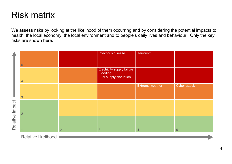### Risk matrix

We assess risks by looking at the likelihood of them occurring and by considering the potential impacts to health, the local economy, the local environment and to people's daily lives and behaviour. Only the key risks are shown here.

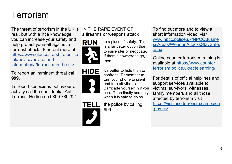# Terrorism

The threat of terrorism in the UK is IN THE RARE EVENT OF real, but with a little knowledge you can increase your safety and help protect yourself against a terrorist attack. Find out more at [https://www.gloucestershire.police](https://www.gloucestershire.police.uk/advice/advice-and-information/t/terrorism-in-the-uk/) [.uk/advice/advice-and](https://www.gloucestershire.police.uk/advice/advice-and-information/t/terrorism-in-the-uk/)[information/t/terrorism-in-the-uk/.](https://www.gloucestershire.police.uk/advice/advice-and-information/t/terrorism-in-the-uk/)

To report an imminent threat **call 999**.

To report suspicious behaviour or activity call the confidential Anti-Terrorist Hotline on 0800 789 321.

# a firearms or weapons attack





**TELL** 

to a place of safety. This is a far better option than to surrender or negotiate. If there's nowhere to go, then …

#### It's better to hide than to confront. Remember to turn your phone to silent and turn off vibrate. Barricade yourself in if you can. Then finally and only when it is safe to do so ...

the police by calling 999.

To find out more and to view a short information video, visit [www.npcc.police.uk/NPCCBusine](file://///ww-fp-1/EMS/GENERAL/LRF/LRF%20Groups%20inc%20minutes/Risk%20&%20Planning/Risks%202020-21/CRR/Publicly%20available%20CRR/www.npcc.police.uk/NPCCBusinessAreas/WeaponAttacksStaySafe.aspx) [ssAreas/WeaponAttacksStaySafe.](file://///ww-fp-1/EMS/GENERAL/LRF/LRF%20Groups%20inc%20minutes/Risk%20&%20Planning/Risks%202020-21/CRR/Publicly%20available%20CRR/www.npcc.police.uk/NPCCBusinessAreas/WeaponAttacksStaySafe.aspx) [aspx.](file://///ww-fp-1/EMS/GENERAL/LRF/LRF%20Groups%20inc%20minutes/Risk%20&%20Planning/Risks%202020-21/CRR/Publicly%20available%20CRR/www.npcc.police.uk/NPCCBusinessAreas/WeaponAttacksStaySafe.aspx)

Online counter terrorism training is available at [https://www.counter](https://ct.highfieldelearning.com/) [terrorism.police.uk/actelearning/.](https://ct.highfieldelearning.com/)

For details of official helplines and support services available to victims, survivors, witnesses, family members and all those affected by terrorism visit [https://victimsofterrorism.campaign](https://victimsofterrorism.campaign.gov.uk/) [.gov.uk/.](https://victimsofterrorism.campaign.gov.uk/)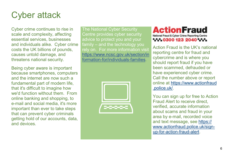

Cyber crime continues to rise in scale and complexity, affecting essential services, businesses and individuals alike. Cyber crime costs the UK billions of pounds, causes untold damage, and threatens national security.

Being cyber aware is important because smartphones, computers and the internet are now such a fundamental part of modern life, that it's difficult to imagine how we'd function without them. From online banking and shopping, to e-mail and social media, it's more important than ever to take steps that can prevent cyber criminals getting hold of our accounts, data, and devices.

The National Cyber Security Centre provides cyber security advice to protect you and your family – and the technology you rely on. For more information visit [https://www.ncsc.gov.uk/section/in](https://www.ncsc.gov.uk/section/information-for/individuals-families) [formation-for/individuals-families.](https://www.ncsc.gov.uk/section/information-for/individuals-families)



### **ActionFraud** National Fraud & Cyber Crime Reporting Centre WW.0300 123 2040 WW.

Action Fraud is the UK's national reporting centre for fraud and cybercrime and is where you should report fraud if you have been scammed, defrauded or have experienced cyber crime. Call the number above or report online at [https://www.actionfraud](https://www.actionfraud.police.uk/) [.police.uk/.](https://www.actionfraud.police.uk/)

You can sign up for free to Action Fraud Alert to receive direct, verified, accurate information about scams and fraud in your area by e-mail, recorded voice and text message, see [https://](https://www.actionfraud.police.uk/sign-up-for-action-fraud-alert) [www.actionfraud.police.uk/sign](https://www.actionfraud.police.uk/sign-up-for-action-fraud-alert)[up-for-action-fraud-alert.](https://www.actionfraud.police.uk/sign-up-for-action-fraud-alert)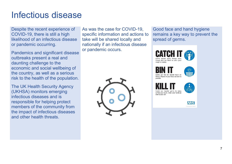### Infectious disease

Despite the recent experience of COVID-19, there is still a high likelihood of an infectious disease or pandemic occurring.

Pandemics and significant disease outbreaks present a real and daunting challenge to the economic and social wellbeing of the country, as well as a serious risk to the health of the population.

The UK Health Security Agency (UKHSA) monitors emerging infectious diseases and is responsible for helping protect members of the community from the impact of infectious diseases and other health threats.

As was the case for COVID-19, specific information and actions to take will be shared locally and nationally if an infectious disease or pandemic occurs.



Good face and hand hygiene remains a key way to prevent the spread of germs.



|  |  | Germs can live for several hours o        |  |
|--|--|-------------------------------------------|--|
|  |  | tissues. Dispose of your tissue as soon a |  |

possible







surface you touch. Clean your hands a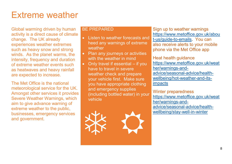### Extreme weather

Global warming driven by human activity is a direct cause of climate change. The UK already experiences weather extremes such as heavy snow and strong winds. As the planet warms, the intensity, frequency and duration of extreme weather events such as heatwaves and heavy rainfall are expected to increase.

The Met Office is the national meteorological service for the UK. Amongst other services it provides Severe Weather Warnings, which aim to give advance warning of extreme weather to the public, businesses, emergency services and government.

#### BE PREPARED

- Listen to weather forecasts and heed any warnings of extreme weather
- Plan any journeys or activities with the weather in mind
	- Only travel if essential if you have to travel in severe weather check and prepare your vehicle first. Make sure you have appropriate clothing and emergency supplies (including bottled water) in your vehicle



Sign up to weather warnings [https://www.metoffice.gov.uk/abou](https://www.metoffice.gov.uk/about-us/guide-to-emails) [t-us/guide-to-emails.](https://www.metoffice.gov.uk/about-us/guide-to-emails) You can also receive alerts to your mobile phone via the Met Office app

Heat health guidance [https://www.metoffice.gov.uk/weat](https://www.metoffice.gov.uk/weather/warnings-and-advice/seasonal-advice/health-wellbeing/hot-weather-and-its-impacts) [her/warnings-and](https://www.metoffice.gov.uk/weather/warnings-and-advice/seasonal-advice/health-wellbeing/hot-weather-and-its-impacts)[advice/seasonal-advice/health](https://www.metoffice.gov.uk/weather/warnings-and-advice/seasonal-advice/health-wellbeing/hot-weather-and-its-impacts)[wellbeing/hot-weather-and-its](https://www.metoffice.gov.uk/weather/warnings-and-advice/seasonal-advice/health-wellbeing/hot-weather-and-its-impacts)[impacts](https://www.metoffice.gov.uk/weather/warnings-and-advice/seasonal-advice/health-wellbeing/hot-weather-and-its-impacts)

Winter preparedness [https://www.metoffice.gov.uk/weat](https://www.metoffice.gov.uk/weather/warnings-and-advice/seasonal-advice/health-wellbeing/stay-well-in-winter) [her/warnings-and](https://www.metoffice.gov.uk/weather/warnings-and-advice/seasonal-advice/health-wellbeing/stay-well-in-winter)[advice/seasonal-advice/health](https://www.metoffice.gov.uk/weather/warnings-and-advice/seasonal-advice/health-wellbeing/stay-well-in-winter)[wellbeing/stay-well-in-winter](https://www.metoffice.gov.uk/weather/warnings-and-advice/seasonal-advice/health-wellbeing/stay-well-in-winter)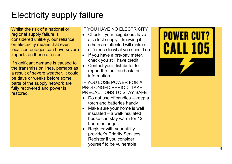# Electricity supply failure

Whilst the risk of a national or regional supply failure is considered unlikely, our reliance on electricity means that even localised outages can have severe impacts on those affected.

If significant damage is caused to the transmission lines, perhaps as a result of severe weather, it could be days or weeks before some parts of the supply network are fully recovered and power is restored.

### IF YOU HAVE NO ELECTRICITY

- Check if your neighbours have also lost supply – knowing if others are affected will make a difference to what you should do
- If you have a pre-pay meter, check you still have credit
- Contact your distributor to report the fault and ask for information

### IF YOU LOSE POWER FOR A PROLONGED PERIOD, TAKE PRECAUTIONS TO STAY SAFE

- Do not use of candles keep a torch and batteries handy
- Make sure your home is well insulated – a well-insulated house can stay warm for 12 hours or longer
- Register with your utility provider 's Priority Services Register if you consider yourself to be vulnerable

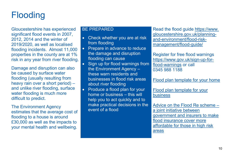# **Flooding**

Gloucestershire has experienced significant flood events in 2007, 2012, 2014 and the winter of 2019/2020, as well as localised flooding incidents. Almost 11,000 properties in the county are at 1% risk in any year from river flooding.

Damage and disruption can also be caused by surface water flooding (usually resulting from heavy rain over a short period) – and unlike river flooding, surface water flooding is much more difficult to predict.

The Environment Agency estimates that the average cost of flooding to a house is around £30,000 as well as the impacts to your mental health and wellbeing.

#### BE PREPARED

- Check whether you are at risk from flooding
- Prepare in advance to reduce the damage and disruption flooding can cause
- Sign up for flood warnings from the Environment Agency – these warn residents and businesses in flood risk areas about river flooding
- Produce a flood plan for your home or business – this will help you to act quickly and to make practical decisions in the event of a flood

Read the flood guide [https://www.](https://www.gloucestershire.gov.uk/planning-and-environment/flood-risk-management/flood-guide/) [gloucestershire.gov.uk/planning](https://www.gloucestershire.gov.uk/planning-and-environment/flood-risk-management/flood-guide/)[and-environment/flood-risk](https://www.gloucestershire.gov.uk/planning-and-environment/flood-risk-management/flood-guide/)[management/flood-guide/](https://www.gloucestershire.gov.uk/planning-and-environment/flood-risk-management/flood-guide/)

Register for free flood warnings [https://www.gov.uk/sign-up-for](https://www.gov.uk/sign-up-for-flood-warnings)[flood-warnings](https://www.gov.uk/sign-up-for-flood-warnings) or call 0345 988 1188

[Flood plan template for your home](https://assets.publishing.service.gov.uk/government/uploads/system/uploads/attachment_data/file/444659/LIT_4112.pdf)

[Flood plan template for your](https://assets.publishing.service.gov.uk/government/uploads/system/uploads/attachment_data/file/410606/LIT_5284.pdf)  [business](https://assets.publishing.service.gov.uk/government/uploads/system/uploads/attachment_data/file/410606/LIT_5284.pdf)

Advice [on the Flood Re scheme](https://www.floodre.co.uk/) – [a joint initiative between](https://www.floodre.co.uk/) [government and insurers to make](https://www.floodre.co.uk/)  [flood insurance cover more](https://www.floodre.co.uk/)  affordable [for those in high risk](https://www.floodre.co.uk/)  [areas](https://www.floodre.co.uk/)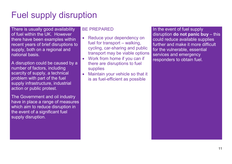# Fuel supply disruption

There is usually good availability of fuel within the UK. However there have been examples within recent years of brief disruptions to supply, both on a regional and national basis.

A disruption could be caused by a number of factors, including scarcity of supply, a technical problem with part of the fuel supply infrastructure, industrial action or public protest.

The Government and oil industry have in place a range of measures which aim to reduce disruption in the event of a significant fuel supply disruption.

### BE PREPARED

- Reduce your dependency on fuel for transport – walking, cycling, car-sharing and public transport may be viable options
- Work from home if you can if there are disruptions to fuel supplies
- Maintain your vehicle so that it is as fuel-efficient as possible

In the event of fuel supply disruption **do not panic buy** – this could reduce available supplies further and make it more difficult for the vulnerable, essential services and emergency responders to obtain fuel.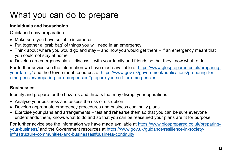# What you can do to prepare

### **Individuals and households**

Quick and easy preparation:-

- Make sure you have suitable insurance
- Put together a 'grab bag' of things you will need in an emergency
- Think about where you would go and stay and how you would get there if an emergency meant that you could not stay at home
- Develop an emergency plan discuss it with your family and friends so that they know what to do

For further advice see the information we have made available at [https://www.glosprepared.co.uk/preparing](https://www.glosprepared.co.uk/preparing-your-family/)[your-family/](https://www.glosprepared.co.uk/preparing-your-family/) and the Government resources at [https://www.gov.uk/government/publications/preparing-for](https://www.gov.uk/government/publications/preparing-for-emergencies/preparing-for-emergencies#prepare-yourself-for-emergencies)[emergencies/preparing-for-emergencies#prepare-yourself-for-emergencies](https://www.gov.uk/government/publications/preparing-for-emergencies/preparing-for-emergencies#prepare-yourself-for-emergencies)

### **Businesses**

Identify and prepare for the hazards and threats that may disrupt your operations:-

- Analyse your business and assess the risk of disruption
- Develop appropriate emergency procedures and business continuity plans
- Exercise your plans and arrangements test and rehearse them so that you can be sure everyone understands them, knows what to do and so that you can be reassured your plans are fit for purpose

For further advice see the information we have made available at [https://www.glosprepared.co.uk/preparing](https://www.glosprepared.co.uk/preparing-your-business/)[your-business/](https://www.glosprepared.co.uk/preparing-your-business/) and the Government resources at [https://www.gov.uk/guidance/resilience-in-society](https://www.gov.uk/guidance/resilience-in-society-infrastructure-communities-and-businesses%23business-continuity)[infrastructure-communities-and-businesses#business-continuity](https://www.gov.uk/guidance/resilience-in-society-infrastructure-communities-and-businesses%23business-continuity)